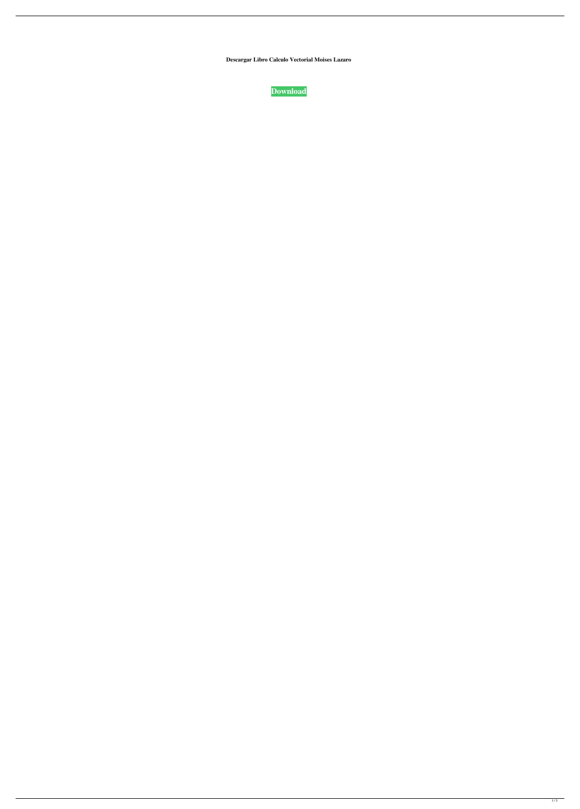**Descargar Libro Calculo Vectorial Moises Lazaro**

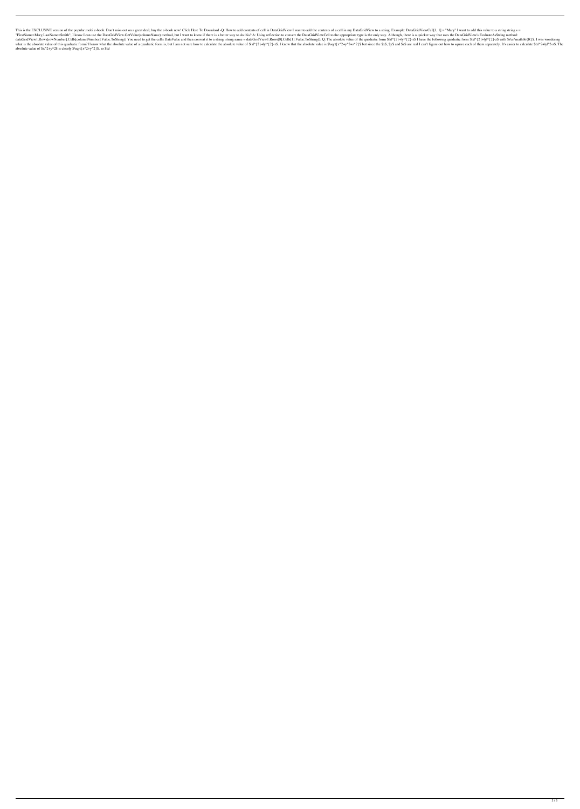This is the EXCLUSIVE version of the popular mobi e-book. Don't miss out on a great deal, buy the e-book now! Click Here To Download -Q: How to add contents of cell in DataGridView I want to add the contents of a cell in m "FirstName=Mary,LastName=Smith"; I know I can use the DataGridView.GetValue(columnName) method, but I want to know if there is a better way to do this? A: Using reflection to convert the DataGridViewCell to the appropriate dataGridView1.Rows[rowNumber].Cells[columnNumber].Value.ToString() You need to get the cell's DataValue and then convert it to a string: string name = dataGridView1.Rows[0].Cells[1].Value.ToString(); Q: The absolute value what is the absolute value of this quadratic form? I know what the absolute value of a quadratic form is, but I am not sure how to calculate the absolute value of \$lxl^{2}+lyl^{2}-z\$. I know that the absolute value is \$\sq absolute value of  $x^2+y^2\$  is clearly  $\sqrt[3]{\sqrt[3]{2+y^2}}$ , so  $\sqrt[3]{x}$